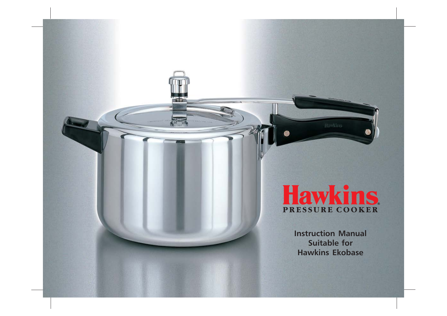# Hawkins

Instruction Manual Suitable for Hawkins Ekobase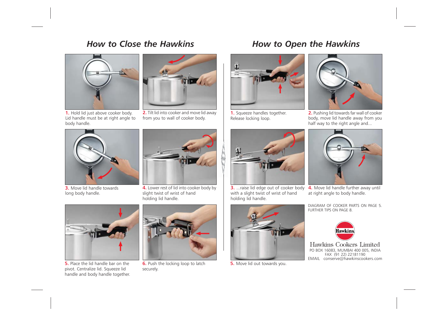### How to Close the Hawkins



1. Hold lid just above cooker body. Lid handle must be at right angle to body handle.



2. Tilt lid into cooker and move lid away from you to wall of cooker body.



3. Move lid handle towards long body handle.



4. Lower rest of lid into cooker body by slight twist of wrist of hand holding lid handle.



5. Place the lid handle bar on the pivot. Centralize lid. Squeeze lid handle and body handle together.



6. Push the locking loop to latch securely.





1. Squeeze handles together. Release locking loop.



2. Pushing lid towards far wall of cooker body, move lid handle away from you half way to the right angle and...



**3.** ...raise lid edge out of cooker body with a slight twist of wrist of hand holding lid handle.



**5.** Move lid out towards you.



4. Move lid handle further away until at right angle to body handle.

DIAGRAM OF COOKER PARTS ON PAGE 5. FURTHER TIPS ON PAGE 8.



Hawkins Cookers Limited PO BOX 16083, MUMBAI 400 005, INDIA FAX (91 22) 22181190 EMAIL conserve@hawkinscookers.com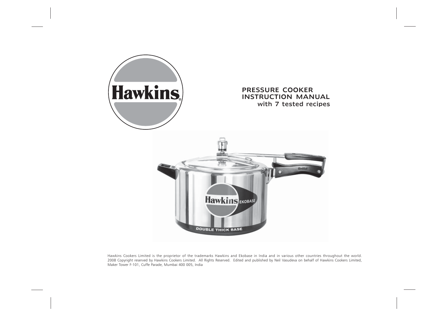

Hawkins Cookers Limited is the proprietor of the trademarks Hawkins and Ekobase in India and in various other countries throughout the world. 2008 Copyright reserved by Hawkins Cookers Limited. All Rights Reserved. Edited and published by Neil Vasudeva on behalf of Hawkins Cookers Limited, Maker Tower F-101, Cuffe Parade, Mumbai 400 005, India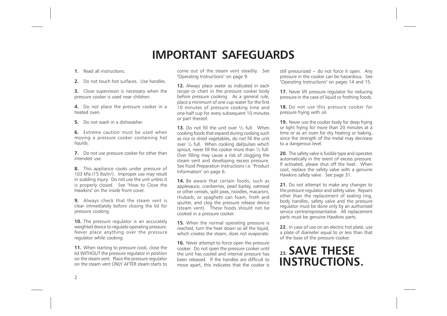# IMPORTANT SAFEGUARDS

### 1. Read all instructions.

2. Do not touch hot surfaces. Use handles.

**3.** Close supervision is necessary when the pressure cooker is used near children.

4. Do not place the pressure cooker in a heated oven.

5. Do not wash in a dishwasher.

6. Extreme caution must be used when moving a pressure cooker containing hot liquids.

**7.** Do not use pressure cooker for other than intended use.

8. This appliance cooks under pressure of 103 kPa (15 lbs/in<sup>2</sup>). Improper use may result in scalding injury. Do not use the unit unless it is properly closed. See "How to Close the Hawkins" on the inside front cover.

**9.** Always check that the steam vent is clear immediately before closing the lid for pressure cooking.

**10.** The pressure regulator is an accurately weighted device to regulate operating pressure. Never place anything over the pressure regulator while cooking.

11. When starting to pressure cook, close the lid WITHOUT the pressure regulator in position on the steam vent. Place the pressure regulator on the steam vent ONLY AFTER steam starts to come out of the steam vent steadily. See "Operating Instructions" on page 9.

12. Always place water as indicated in each recipe or chart in the pressure cooker body before pressure cooking. As a general rule, place a minimum of one cup water for the first 10 minutes of pressure cooking time and one-half cup for every subsequent 10 minutes or part thereof.

**13.** Do not fill the unit over  $\frac{2}{3}$  full. When cooking foods that expand during cooking such as rice or dried vegetables, do not fill the unit over  $\frac{1}{2}$  full. When cooking *dal*/pulses which sprout, never fill the cooker more than  $\frac{1}{3}$  full. Over filling may cause a risk of clogging the steam vent and developing excess pressure. See Food Preparation Instructions i.e. "Product Information" on page 6.

14. Be aware that certain foods, such as applesauce, cranberries, pearl barley, oatmeal or other cereals, split peas, noodles, macaroni, rhubarb, or spaghetti can foam, froth and sputter, and clog the pressure release device (steam vent). These foods should not be cooked in a pressure cooker.

15. When the normal operating pressure is reached, turn the heat down so all the liquid, which creates the steam, does not evaporate.

16. Never attempt to force open the pressure cooker. Do not open the pressure cooker until the unit has cooled and internal pressure has been released. If the handles are difficult to move apart, this indicates that the cooker is still pressurized  $-$  do not force it open. Any pressure in the cooker can be hazardous. See "Operating Instructions" on pages 14 and 15.

17. Never lift pressure regulator for reducing pressure in the case of liquid or frothing foods.

18. Do not use this pressure cooker for pressure frying with oil.

19. Never use the cooker body for deep frying or light frying for more than 20 minutes at a time or as an oven for dry heating or baking, since the strength of the metal may decrease to a dangerous level.

20. The safety valve is fusible type and operates automatically in the event of excess pressure. If activated, please shut off the heat. When cool, replace the safety valve with a genuine Hawkins safety valve. See page 31.

21. Do not attempt to make any changes to the pressure regulator and safety valve. Repairs other than the replacement of sealing ring, body handles, safety valve and the pressure regulator must be done only by an authorised service centre/representative. All replacement parts must be genuine Hawkins parts.

22. In case of use on an electric hot plate, use a plate of diameter equal to or less than that of the base of the pressure cooker.

# <sub>23</sub> SAVE THESE INSTRUCTIONS.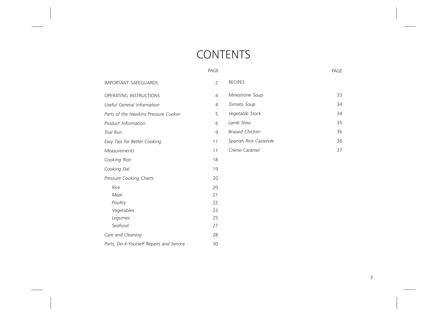# **CONTENTS**

|                                           | PAGE           |                        | PAGE |
|-------------------------------------------|----------------|------------------------|------|
| <b>IMPORTANT SAFEGUARDS</b>               | $\overline{2}$ | <b>RECIPES</b>         |      |
| OPERATING INSTRUCTIONS                    | 4              | Minestrone Soup        | 33   |
| Useful General Information                | $\overline{4}$ | Tomato Soup            | 34   |
| Parts of the Hawkins Pressure Cooker      | 5              | Vegetable Stock        | 34   |
| Product Information                       | 6              | Lamb Stew              | 35   |
| Trial Run                                 | 9              | <b>Braised Chicken</b> | 36   |
| Easy Tips for Better Cooking              | 11             | Spanish Rice Casserole | 36   |
| <b>Measurements</b>                       | 17             | Crème Caramel          | 37   |
| Cooking Rice                              | 18             |                        |      |
| Cooking Dal                               | 19             |                        |      |
| Pressure Cooking Charts                   | 20             |                        |      |
| Rice                                      | 20             |                        |      |
| Meat                                      | 21             |                        |      |
| Poultry                                   | 22             |                        |      |
| Vegetables                                | 23             |                        |      |
| Legumes                                   | 25             |                        |      |
| Seafood                                   | 27             |                        |      |
| Care and Cleaning                         | 28             |                        |      |
| Parts, Do-it-Yourself Repairs and Service | 30             |                        |      |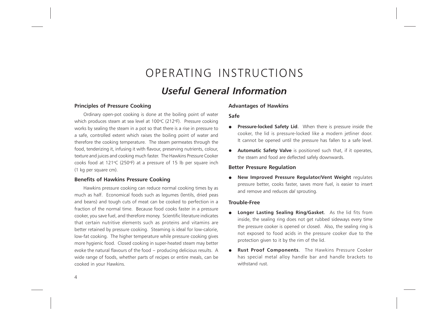# OPERATING INSTRUCTIONS

### Useful General Information

### Principles of Pressure Cooking

Ordinary open-pot cooking is done at the boiling point of water which produces steam at sea level at 100°C (212°F). Pressure cooking works by sealing the steam in a pot so that there is a rise in pressure to a safe, controlled extent which raises the boiling point of water and therefore the cooking temperature. The steam permeates through the food, tenderizing it, infusing it with flavour, preserving nutrients, colour, texture and juices and cooking much faster. The Hawkins Pressure Cooker cooks food at 121 $\degree$ C (250 $\degree$ F) at a pressure of 15 lb per square inch (1 kg per square cm).

### Benefits of Hawkins Pressure Cooking

Hawkins pressure cooking can reduce normal cooking times by as much as half. Economical foods such as legumes (lentils, dried peas and beans) and tough cuts of meat can be cooked to perfection in a fraction of the normal time. Because food cooks faster in a pressure cooker, you save fuel, and therefore money. Scientific literature indicates that certain nutritive elements such as proteins and vitamins are better retained by pressure cooking. Steaming is ideal for low-calorie, low-fat cooking. The higher temperature while pressure cooking gives more hygienic food. Closed cooking in super-heated steam may better evoke the natural flavours of the food - producing delicious results. A wide range of foods, whether parts of recipes or entire meals, can be cooked in your Hawkins.

### Advantages of Hawkins

#### Safe

- **Pressure-locked Safety Lid.** When there is pressure inside the cooker, the lid is pressure-locked like a modern jetliner door. It cannot be opened until the pressure has fallen to a safe level.
- **Automatic Safety Valve** is positioned such that, if it operates, the steam and food are deflected safely downwards.

#### Better Pressure Regulation

New Improved Pressure Regulator/Vent Weight regulates pressure better, cooks faster, saves more fuel, is easier to insert and remove and reduces dal sprouting.

#### Trouble-Free

- Longer Lasting Sealing Ring/Gasket. As the lid fits from inside, the sealing ring does not get rubbed sideways every time the pressure cooker is opened or closed. Also, the sealing ring is not exposed to food acids in the pressure cooker due to the protection given to it by the rim of the lid.
- Rust Proof Components. The Hawkins Pressure Cooker has special metal alloy handle bar and handle brackets to withstand rust.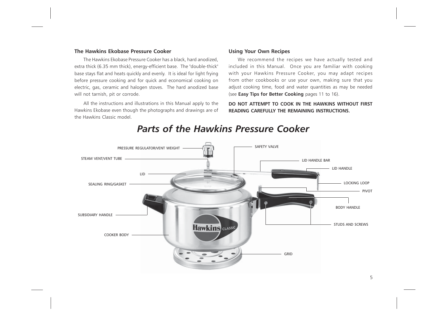### The Hawkins Ekobase Pressure Cooker

The Hawkins Ekobase Pressure Cooker has a black, hard anodized, extra thick (6.35 mm thick), energy-efficient base. The "double-thick" base stays flat and heats quickly and evenly. It is ideal for light frying before pressure cooking and for quick and economical cooking on electric, gas, ceramic and halogen stoves. The hard anodized base will not tarnish, pit or corrode.

All the instructions and illustrations in this Manual apply to the Hawkins Ekobase even though the photographs and drawings are of the Hawkins Classic model.

### Using Your Own Recipes

We recommend the recipes we have actually tested and included in this Manual. Once you are familiar with cooking with your Hawkins Pressure Cooker, you may adapt recipes from other cookbooks or use your own, making sure that you adjust cooking time, food and water quantities as may be needed (see Easy Tips for Better Cooking pages 11 to 16).

DO NOT ATTEMPT TO COOK IN THE HAWKINS WITHOUT FIRST READING CAREFULLY THE REMAINING INSTRUCTIONS.



### Parts of the Hawkins Pressure Cooker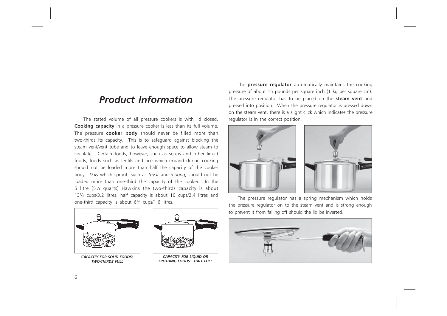### Product Information

The stated volume of all pressure cookers is with lid closed. Cooking capacity in a pressure cooker is less than its full volume. The pressure **cooker body** should never be filled more than two-thirds its capacity. This is to safeguard against blocking the steam vent/vent tube and to leave enough space to allow steam to circulate. Certain foods, however, such as soups and other liquid foods, foods such as lentils and rice which expand during cooking should not be loaded more than half the capacity of the cooker body. Dals which sprout, such as tuvar and moong, should not be loaded more than one-third the capacity of the cooker. In the 5 litre (5¼ quarts) Hawkins the two-thirds capacity is about 13½ cups/3.2 litres, half capacity is about 10 cups/2.4 litres and one-third capacity is about 6½ cups/1.6 litres.



CAPACITY FOR SOLID FOODS: TWO-THIRDS FULL



CAPACITY FOR LIQUID OR FROTHING FOODS: HALF FULL

The **pressure regulator** automatically maintains the cooking pressure of about 15 pounds per square inch (1 kg per square cm). The pressure regulator has to be placed on the **steam vent** and pressed into position. When the pressure regulator is pressed down on the steam vent, there is a slight click which indicates the pressure regulator is in the correct position.





The pressure regulator has a spring mechanism which holds the pressure regulator on to the steam vent and is strong enough to prevent it from falling off should the lid be inverted.

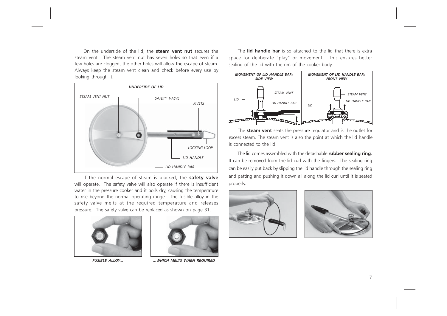On the underside of the lid, the **steam vent nut** secures the steam vent. The steam vent nut has seven holes so that even if a few holes are clogged, the other holes will allow the escape of steam. Always keep the steam vent clean and check before every use by looking through it.



If the normal escape of steam is blocked, the safety valve will operate. The safety valve will also operate if there is insufficient water in the pressure cooker and it boils dry, causing the temperature to rise beyond the normal operating range. The fusible alloy in the safety valve melts at the required temperature and releases pressure. The safety valve can be replaced as shown on page 31.





FUSIBLE ALLOY... ...WHICH MELTS WHEN REQUIRED

The lid handle bar is so attached to the lid that there is extra space for deliberate "play" or movement. This ensures better sealing of the lid with the rim of the cooker body.



The **steam vent** seats the pressure regulator and is the outlet for excess steam. The steam vent is also the point at which the lid handle is connected to the lid.

The lid comes assembled with the detachable rubber sealing ring. It can be removed from the lid curl with the fingers. The sealing ring can be easily put back by slipping the lid handle through the sealing ring and patting and pushing it down all along the lid curl until it is seated properly.



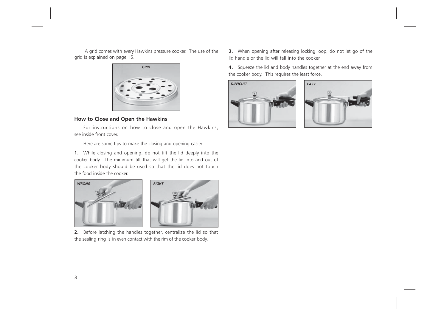A grid comes with every Hawkins pressure cooker. The use of the grid is explained on page 15.



### How to Close and Open the Hawkins

For instructions on how to close and open the Hawkins, see inside front cover.

Here are some tips to make the closing and opening easier:

1. While closing and opening, do not tilt the lid deeply into the cooker body. The minimum tilt that will get the lid into and out of the cooker body should be used so that the lid does not touch the food inside the cooker.





2. Before latching the handles together, centralize the lid so that the sealing ring is in even contact with the rim of the cooker body.

3. When opening after releasing locking loop, do not let go of the lid handle or the lid will fall into the cooker.

4. Squeeze the lid and body handles together at the end away from the cooker body. This requires the least force.



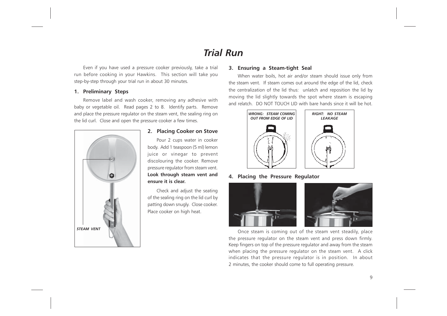# Trial Run

Even if you have used a pressure cooker previously, take a trial run before cooking in your Hawkins. This section will take you step-by-step through your trial run in about 30 minutes.

### 1. Preliminary Steps

Remove label and wash cooker, removing any adhesive with baby or vegetable oil. Read pages 2 to 8. Identify parts. Remove and place the pressure regulator on the steam vent, the sealing ring on the lid curl. Close and open the pressure cooker a few times.



### 2. Placing Cooker on Stove

Pour 2 cups water in cooker body. Add 1 teaspoon (5 ml) lemon juice or vinegar to prevent discolouring the cooker. Remove pressure regulator from steam vent. Look through steam vent and ensure it is clear.

Check and adjust the seating of the sealing ring on the lid curl by patting down snugly. Close cooker. Place cooker on high heat.

### 3. Ensuring a Steam-tight Seal

When water boils, hot air and/or steam should issue only from the steam vent. If steam comes out around the edge of the lid, check the centralization of the lid thus: unlatch and reposition the lid by moving the lid slightly towards the spot where steam is escaping and relatch. DO NOT TOUCH LID with bare hands since it will be hot.



4. Placing the Pressure Regulator



Once steam is coming out of the steam vent steadily, place the pressure regulator on the steam vent and press down firmly. Keep fingers on top of the pressure regulator and away from the steam when placing the pressure regulator on the steam vent. A click indicates that the pressure regulator is in position. In about 2 minutes, the cooker should come to full operating pressure.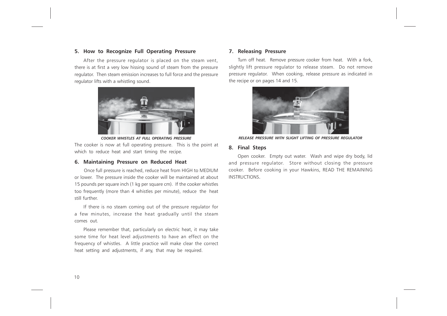### 5. How to Recognize Full Operating Pressure

After the pressure regulator is placed on the steam vent, there is at first a very low hissing sound of steam from the pressure regulator. Then steam emission increases to full force and the pressure regulator lifts with a whistling sound.



COOKER WHISTLES AT FULL OPERATING PRESSURE

The cooker is now at full operating pressure. This is the point at which to reduce heat and start timing the recipe.

### 6. Maintaining Pressure on Reduced Heat

Once full pressure is reached, reduce heat from HIGH to MEDIUM or lower. The pressure inside the cooker will be maintained at about 15 pounds per square inch (1 kg per square cm). If the cooker whistles too frequently (more than 4 whistles per minute), reduce the heat still further.

If there is no steam coming out of the pressure regulator for a few minutes, increase the heat gradually until the steam comes out.

Please remember that, particularly on electric heat, it may take some time for heat level adjustments to have an effect on the frequency of whistles. A little practice will make clear the correct heat setting and adjustments, if any, that may be required.

### 7. Releasing Pressure

Turn off heat. Remove pressure cooker from heat. With a fork, slightly lift pressure regulator to release steam. Do not remove pressure regulator. When cooking, release pressure as indicated in the recipe or on pages 14 and 15.



RELEASE PRESSURE WITH SLIGHT LIFTING OF PRESSURE REGULATOR

#### 8. Final Steps

Open cooker. Empty out water. Wash and wipe dry body, lid and pressure regulator. Store without closing the pressure cooker. Before cooking in your Hawkins, READ THE REMAINING INSTRUCTIONS.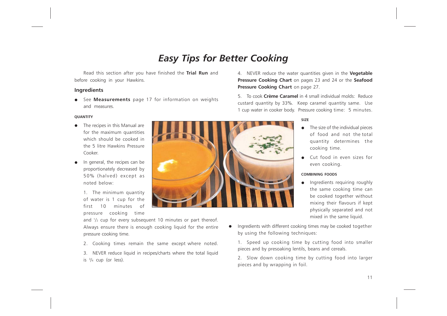# Easy Tips for Better Cooking

Read this section after you have finished the Trial Run and before cooking in your Hawkins.

### Ingredients

See **Measurements** page 17 for information on weights and measures.

#### **OU ANTITY**

- The recipes in this Manual are for the maximum quantities which should be cooked in the 5 litre Hawkins Pressure Cooker.
- In general, the recipes can be proportionately decreased by 50% (halved) except as noted below:

1. The minimum quantity of water is 1 cup for the first 10 minutes of pressure cooking time



and  $\frac{1}{2}$  cup for every subsequent 10 minutes or part thereof. Always ensure there is enough cooking liquid for the entire pressure cooking time.

- 2. Cooking times remain the same except where noted.
- 3. NEVER reduce liquid in recipes/charts where the total liquid is  $\frac{3}{4}$  cup (or less).

4. NEVER reduce the water quantities given in the **Vegetable** Pressure Cooking Chart on pages 23 and 24 or the Seafood Pressure Cooking Chart on page 27.

5. To cook Crème Caramel in 4 small individual molds: Reduce custard quantity by 33%. Keep caramel quantity same. Use 1 cup water in cooker body. Pressure cooking time: 5 minutes.

### SIZE

- The size of the individual pieces of food and not the total quantity determines the cooking time.
- Cut food in even sizes for even cooking.

#### COMBINING FOODS

- Ingredients requiring roughly the same cooking time can be cooked together without mixing their flavours if kept physically separated and not mixed in the same liquid.
- Ingredients with different cooking times may be cooked together by using the following techniques:

1. Speed up cooking time by cutting food into smaller pieces and by presoaking lentils, beans and cereals.

2. Slow down cooking time by cutting food into larger pieces and by wrapping in foil.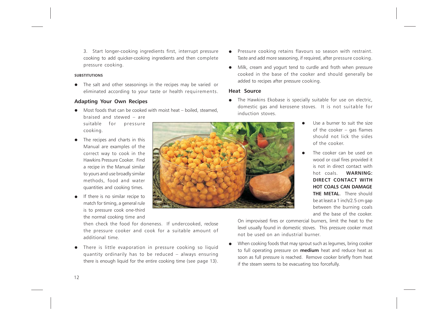3. Start longer-cooking ingredients first, interrupt pressure cooking to add quicker-cooking ingredients and then complete pressure cooking.

#### **SUBSTITUTIONS**

cooking.

The salt and other seasonings in the recipes may be varied or eliminated according to your taste or health requirements.

### Adapting Your Own Recipes

- $\bullet$  Most foods that can be cooked with moist heat boiled, steamed, braised and stewed – are suitable for pressure
- The recipes and charts in this Manual are examples of the correct way to cook in the Hawkins Pressure Cooker. Find a recipe in the Manual similar to yours and use broadly similar methods, food and water quantities and cooking times.
- If there is no similar recipe to match for timing, a general rule is to pressure cook one-third the normal cooking time and



then check the food for doneness. If undercooked, reclose the pressure cooker and cook for a suitable amount of additional time.

• There is little evaporation in pressure cooking so liquid quantity ordinarily has to be reduced – always ensuring there is enough liquid for the entire cooking time (see page 13).

- Pressure cooking retains flavours so season with restraint. Taste and add more seasoning, if required, after pressure cooking.
- Milk, cream and yogurt tend to curdle and froth when pressure cooked in the base of the cooker and should generally be added to recipes after pressure cooking.

#### Heat Source

- The Hawkins Ekobase is specially suitable for use on electric, domestic gas and kerosene stoves. It is not suitable for induction stoves.
	- Use a burner to suit the size of the cooker – gas flames should not lick the sides of the cooker.
	- The cooker can be used on wood or coal fires provided it is not in direct contact with hot coals. WARNING: DIRECT CONTACT WITH HOT COALS CAN DAMAGE THE METAL. There should be at least a 1 inch/2.5 cm gap between the burning coals and the base of the cooker.

On improvised fires or commercial burners, limit the heat to the level usually found in domestic stoves. This pressure cooker must not be used on an industrial burner.

When cooking foods that may sprout such as legumes, bring cooker to full operating pressure on **medium** heat and reduce heat as soon as full pressure is reached. Remove cooker briefly from heat if the steam seems to be evacuating too forcefully.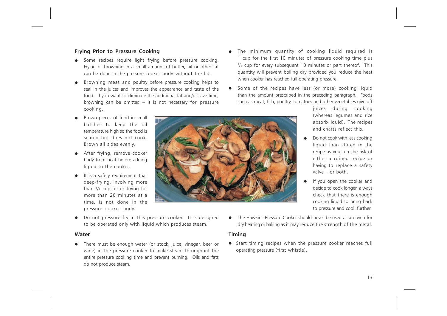### Frying Prior to Pressure Cooking

- Some recipes require light frying before pressure cooking. Frying or browning in a small amount of butter, oil or other fat can be done in the pressure cooker body without the lid.
- Browning meat and poultry before pressure cooking helps to seal in the juices and improves the appearance and taste of the food. If you want to eliminate the additional fat and/or save time, browning can be omitted – it is not necessary for pressure cooking.
- Brown pieces of food in small batches to keep the oil temperature high so the food is seared but does not cook. Brown all sides evenly.
- After frying, remove cooker body from heat before adding liquid to the cooker.
- It is a safety requirement that deep-frying, involving more than  $1/2$  cup oil or frying for more than 20 minutes at a time, is not done in the pressure cooker body.
- Do not pressure fry in this pressure cooker. It is designed to be operated only with liquid which produces steam.

### Water

• There must be enough water (or stock, juice, vinegar, beer or wine) in the pressure cooker to make steam throughout the entire pressure cooking time and prevent burning. Oils and fats do not produce steam.

- The minimum quantity of cooking liquid required is 1 cup for the first 10 minutes of pressure cooking time plus  $1/2$  cup for every subsequent 10 minutes or part thereof. This quantity will prevent boiling dry provided you reduce the heat when cooker has reached full operating pressure.
- Some of the recipes have less (or more) cooking liquid than the amount prescribed in the preceding paragraph. Foods such as meat, fish, poultry, tomatoes and other vegetables give off



- Do not cook with less cooking liquid than stated in the recipe as you run the risk of either a ruined recipe or having to replace a safety valve – or both.
- If you open the cooker and decide to cook longer, always check that there is enough cooking liquid to bring back to pressure and cook further.
- The Hawkins Pressure Cooker should never be used as an oven for dry heating or baking as it may reduce the strength of the metal.

### Timing

• Start timing recipes when the pressure cooker reaches full operating pressure (first whistle).

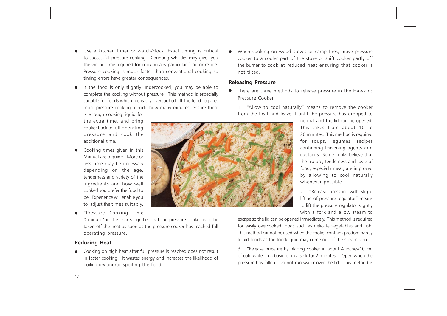Use a kitchen timer or watch/clock. Exact timing is critical to successful pressure cooking. Counting whistles may give you the wrong time required for cooking any particular food or recipe. Pressure cooking is much faster than conventional cooking so timing errors have greater consequences.

If the food is only slightly undercooked, you may be able to complete the cooking without pressure. This method is especially suitable for foods which are easily overcooked. If the food requires more pressure cooking, decide how many minutes, ensure there

is enough cooking liquid for the extra time, and bring cooker back to full operating pressure and cook the additional time.

- Cooking times given in this Manual are a guide. More or less time may be necessary depending on the age, tenderness and variety of the ingredients and how well cooked you prefer the food to be. Experience will enable you to adjust the times suitably.
- "Pressure Cooking Time

taken off the heat as soon as the pressure cooker has reached full

### Reducing Heat

• Cooking on high heat after full pressure is reached does not result in faster cooking. It wastes energy and increases the likelihood of boiling dry and/or spoiling the food.

When cooking on wood stoves or camp fires, move pressure cooker to a cooler part of the stove or shift cooker partly off the burner to cook at reduced heat ensuring that cooker is not tilted.

### Releasing Pressure

There are three methods to release pressure in the Hawkins Pressure Cooker.

1. "Allow to cool naturally" means to remove the cooker from the heat and leave it until the pressure has dropped to

normal and the lid can be opened. This takes from about 10 to 20 minutes. This method is required for soups, legumes, recipes containing leavening agents and custards. Some cooks believe that the texture, tenderness and taste of food, especially meat, are improved by allowing to cool naturally whenever possible.

2. "Release pressure with slight lifting of pressure regulator" means to lift the pressure regulator slightly with a fork and allow steam to

escape so the lid can be opened immediately. This method is required for easily overcooked foods such as delicate vegetables and fish. This method cannot be used when the cooker contains predominantly liquid foods as the food/liquid may come out of the steam vent.

3. "Release pressure by placing cooker in about 4 inches/10 cm of cold water in a basin or in a sink for 2 minutes". Open when the pressure has fallen. Do not run water over the lid. This method is

0 minute" in the charts signifies that the pressure cooker is to be operating pressure.

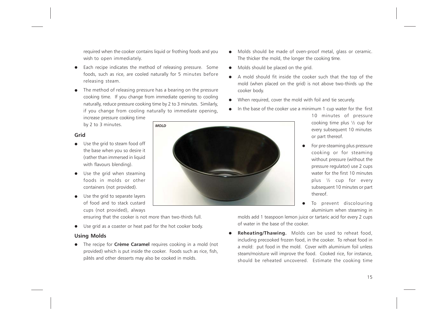required when the cooker contains liquid or frothing foods and you wish to open immediately.

- Each recipe indicates the method of releasing pressure. Some foods, such as rice, are cooled naturally for 5 minutes before releasing steam.
- The method of releasing pressure has a bearing on the pressure cooking time. If you change from immediate opening to cooling naturally, reduce pressure cooking time by 2 to 3 minutes. Similarly, if you change from cooling naturally to immediate opening, increase pressure cooking time

by 2 to 3 minutes.

### Grid

- Use the grid to steam food off the base when you so desire it (rather than immersed in liquid with flavours blending).
- Use the grid when steaming foods in molds or other containers (not provided).
- Use the grid to separate layers of food and to stack custard cups (not provided), always



ensuring that the cooker is not more than two-thirds full.

Use grid as a coaster or heat pad for the hot cooker body.

### Using Molds

The recipe for **Crème Caramel** requires cooking in a mold (not provided) which is put inside the cooker. Foods such as rice, fish, pâtés and other desserts may also be cooked in molds.

- Molds should be made of oven-proof metal, glass or ceramic. The thicker the mold, the longer the cooking time.
- Molds should be placed on the grid.
- A mold should fit inside the cooker such that the top of the mold (when placed on the grid) is not above two-thirds up the cooker body.
- When required, cover the mold with foil and tie securely.
- In the base of the cooker use a minimum 1 cup water for the first
	- 10 minutes of pressure cooking time plus ½ cup for every subsequent 10 minutes or part thereof.
	- For pre-steaming plus pressure cooking or for steaming without pressure (without the pressure regulator) use 2 cups water for the first 10 minutes plus ½ cup for every subsequent 10 minutes or part thereof.
	- To prevent discolouring aluminium when steaming in

molds add 1 teaspoon lemon juice or tartaric acid for every 2 cups of water in the base of the cooker.

Reheating/Thawing. Molds can be used to reheat food, including precooked frozen food, in the cooker. To reheat food in a mold: put food in the mold. Cover with aluminium foil unless steam/moisture will improve the food. Cooked rice, for instance, should be reheated uncovered. Estimate the cooking time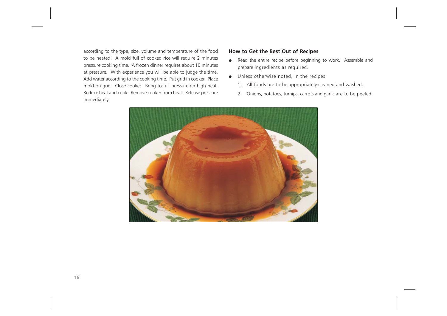according to the type, size, volume and temperature of the food to be heated. A mold full of cooked rice will require 2 minutes pressure cooking time. A frozen dinner requires about 10 minutes at pressure. With experience you will be able to judge the time. Add water according to the cooking time. Put grid in cooker. Place mold on grid. Close cooker. Bring to full pressure on high heat. Reduce heat and cook. Remove cooker from heat. Release pressure immediately.

### How to Get the Best Out of Recipes

- Read the entire recipe before beginning to work. Assemble and prepare ingredients as required.
- Unless otherwise noted, in the recipes:
	- 1. All foods are to be appropriately cleaned and washed.
	- 2. Onions, potatoes, turnips, carrots and garlic are to be peeled.

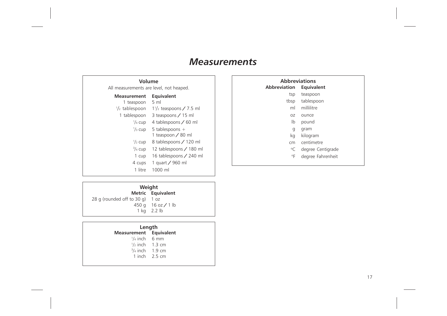# **Measurements**

| Volume<br>All measurements are level, not heaped. |                                                                  |  |  |  |  |
|---------------------------------------------------|------------------------------------------------------------------|--|--|--|--|
| <b>Measurement</b>                                | Equivalent                                                       |  |  |  |  |
| 1 teaspoon                                        | $5 \text{ ml}$                                                   |  |  |  |  |
| $\frac{1}{2}$ tablespoon                          | $1\frac{1}{2}$ teaspoons / 7.5 ml                                |  |  |  |  |
| 1 tablespoon                                      | 3 teaspoons / 15 ml                                              |  |  |  |  |
| $\frac{1}{4}$ cup<br>$\frac{1}{3}$ cup            | 4 tablespoons / 60 ml<br>5 tablespoons $+$<br>1 teaspoon / 80 ml |  |  |  |  |
| $\frac{1}{2}$ cup                                 | 8 tablespoons / 120 ml                                           |  |  |  |  |
| $\frac{3}{4}$ cup                                 | 12 tablespoons / 180 ml                                          |  |  |  |  |
| 1 cup                                             | 16 tablespoons / 240 ml                                          |  |  |  |  |
| 4 cups                                            | 1 quart / 960 ml                                                 |  |  |  |  |
| 1 litre                                           | 1000 ml                                                          |  |  |  |  |

| <b>Abbreviations</b><br><b>Abbreviation</b><br>Equivalent |                      |  |  |  |  |
|-----------------------------------------------------------|----------------------|--|--|--|--|
|                                                           |                      |  |  |  |  |
| tsp                                                       | teaspoon             |  |  |  |  |
|                                                           | tbsp tablespoon      |  |  |  |  |
| ml                                                        | millilitre           |  |  |  |  |
| 0Z                                                        | ounce                |  |  |  |  |
| lb                                                        | pound                |  |  |  |  |
| g                                                         | gram                 |  |  |  |  |
| kg                                                        | kilogram             |  |  |  |  |
| cm                                                        | centimetre           |  |  |  |  |
|                                                           | °C degree Centigrade |  |  |  |  |
| ۰F                                                        | degree Fahrenheit    |  |  |  |  |
|                                                           |                      |  |  |  |  |

|                                   | Weight                               |  |  |  |
|-----------------------------------|--------------------------------------|--|--|--|
|                                   | Metric Equivalent                    |  |  |  |
| 28 g (rounded off to $30$ g) 1 oz |                                      |  |  |  |
|                                   | 450 q $16 \text{ oz} / 1 \text{ lb}$ |  |  |  |
|                                   | 1 ka 2.2 lb                          |  |  |  |

| Length                  |                           |  |  |  |
|-------------------------|---------------------------|--|--|--|
| Measurement Equivalent  |                           |  |  |  |
| $\frac{1}{4}$ inch 6 mm |                           |  |  |  |
|                         | $\frac{1}{2}$ inch 1.3 cm |  |  |  |
|                         | $3/4$ inch 1.9 cm         |  |  |  |
|                         | 1 inch $2.5 \text{ cm}$   |  |  |  |
|                         |                           |  |  |  |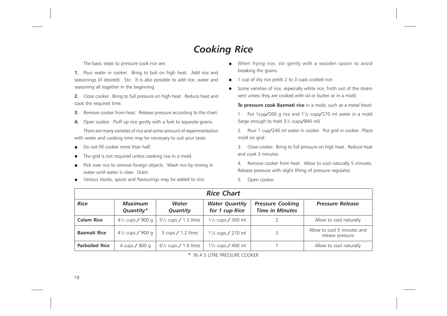# Cooking Rice

The basic steps to pressure cook rice are:

1. Pour water in cooker. Bring to boil on high heat. Add rice and seasonings (if desired). Stir. It is also possible to add rice, water and seasoning all together in the beginning.

2. Close cooker. Bring to full pressure on high heat. Reduce heat and cook the required time.

- **3.** Remove cooker from heat. Release pressure according to the chart.
- 4. Open cooker. Fluff up rice gently with a fork to separate grains.

There are many varieties of rice and some amount of experimentation with water and cooking time may be necessary to suit your taste.

- Do not fill cooker more than half.
- The grid is not required unless cooking rice in a mold.
- Pick over rice to remove foreign objects. Wash rice by rinsing in water until water is clear. Drain.
- Various stocks, spices and flavourings may be added to rice.
- When frying rice, stir gently with a wooden spoon to avoid breaking the grains.
- 1 cup of dry rice yields 2 to 3 cups cooked rice.
- Some varieties of rice, especially white rice, froth out of the steam vent unless they are cooked with oil or butter or in a mold.

To pressure cook Basmati rice in a mold, such as a metal bowl:

1. Put 1cup/200 g rice and  $1\frac{1}{8}$  cups/270 ml water in a mold (large enough to hold 3<sup>1</sup> /2 cups/840 ml).

2. Pour 1 cup/240 ml water in cooker. Put grid in cooker. Place mold on grid.

3. Close cooker. Bring to full pressure on high heat. Reduce heat and cook 3 minutes.

4. Remove cooker from heat. Allow to cool naturally 5 minutes. Release pressure with slight lifting of pressure regulator.

5. Open cooker.

| <b>Rice Chart</b>     |                             |                                  |                                             |                                                   |                                                 |  |  |
|-----------------------|-----------------------------|----------------------------------|---------------------------------------------|---------------------------------------------------|-------------------------------------------------|--|--|
| <b>Rice</b>           | <b>Maximum</b><br>Quantity* | Water<br>Quantity                | <b>Water Quantity</b><br>for 1 cup Rice     | <b>Pressure Cooking</b><br><b>Time in Minutes</b> | <b>Pressure Release</b>                         |  |  |
| <b>Colam Rice</b>     | $4\frac{1}{2}$ cups / 900 g | $5\frac{1}{2}$ cups / 1.3 litres | 1 <sup>1</sup> / <sub>4</sub> cups / 300 ml |                                                   | Allow to cool naturally                         |  |  |
| <b>Basmati Rice</b>   | $4\frac{1}{2}$ cups / 900 g | 5 cups $/$ 1.2 litres            | 1 <sup>1</sup> / <sub>8</sub> cups / 270 ml | 3                                                 | Allow to cool 5 minutes and<br>release pressure |  |  |
| <b>Parboiled Rice</b> | 4 cups / 800 g              | $6\frac{1}{2}$ cups / 1.6 litres | $1^{2}/_{3}$ cups / 400 ml                  |                                                   | Allow to cool naturally                         |  |  |

\* IN A 5 LITRE PRESSURE COOKER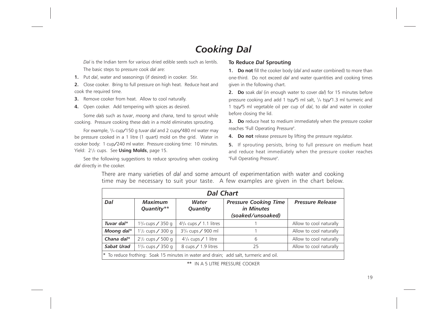# Cooking Dal

Dal is the Indian term for various dried edible seeds such as lentils. The basic steps to pressure cook dal are:

1. Put dal, water and seasonings (if desired) in cooker. Stir.

2. Close cooker. Bring to full pressure on high heat. Reduce heat and cook the required time.

**3.** Remove cooker from heat. Allow to cool naturally.

4. Open cooker. Add tempering with spices as desired.

Some dals such as tuvar, moong and chana, tend to sprout while cooking. Pressure cooking these dals in a mold eliminates sprouting.

-<br>For example, <sup>3</sup>/<sub>4</sub> cup/150 g tuvar dal and 2 cups/480 ml water may be pressure cooked in a 1 litre (1 quart) mold on the grid. Water in cooker body: 1 cup/240 ml water. Pressure cooking time: 10 minutes. Yield:  $2^{1/2}$  cups. See Using Molds, page 15.

See the following suggestions to reduce sprouting when cooking dal directly in the cooker.

### To Reduce Dal Sprouting

1. Do not fill the cooker body (dal and water combined) to more than one-third. Do not exceed dal and water quantities and cooking times given in the following chart.

2. Do soak dal (in enough water to cover dal) for 15 minutes before pressure cooking and add 1 tsp/5 ml salt, 1/4 tsp/1.3 ml turmeric and 1 tsp/5 ml vegetable oil per cup of dal, to dal and water in cooker before closing the lid.

**3.** Do reduce heat to medium immediately when the pressure cooker reaches "Full Operating Pressure".

4. Do not release pressure by lifting the pressure regulator.

5. If sprouting persists, bring to full pressure on medium heat and reduce heat immediately when the pressure cooker reaches "Full Operating Pressure".

| <b>Dal Chart</b>                                                                      |                                            |                                             |                                                                 |                         |  |  |
|---------------------------------------------------------------------------------------|--------------------------------------------|---------------------------------------------|-----------------------------------------------------------------|-------------------------|--|--|
| Dal                                                                                   | <b>Maximum</b><br>Quantity**               | Water<br>Quantity                           | <b>Pressure Cooking Time</b><br>in Minutes<br>(soaked/unsoaked) | <b>Pressure Release</b> |  |  |
| Tuvar dal*                                                                            | 1 <sup>3</sup> / <sub>4</sub> cups / 350 g | $4\frac{3}{4}$ cups / 1.1 litres            |                                                                 | Allow to cool naturally |  |  |
| Moong dal*                                                                            | 1 <sup>1</sup> / <sub>2</sub> cups / 300 g | 3 <sup>3</sup> / <sub>4</sub> cups / 900 ml |                                                                 | Allow to cool naturally |  |  |
| Chana dal $*$                                                                         | $2^{1/2}$ cups / 500 g                     | $4\frac{1}{4}$ cups / 1 litre               | 6                                                               | Allow to cool naturally |  |  |
| Sabat Urad                                                                            | 1 <sup>3</sup> / <sub>4</sub> cups / 350 g | 8 cups / 1.9 litres                         | 25                                                              | Allow to cool naturally |  |  |
| * To reduce frothing: Soak 15 minutes in water and drain; add salt, turmeric and oil. |                                            |                                             |                                                                 |                         |  |  |

There are many varieties of dal and some amount of experimentation with water and cooking time may be necessary to suit your taste. A few examples are given in the chart below.

\*\* IN A 5 LITRE PRESSURE COOKER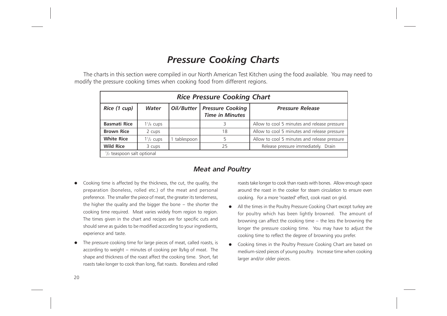# Pressure Cooking Charts

The charts in this section were compiled in our North American Test Kitchen using the food available. You may need to modify the pressure cooking times when cooking food from different regions.

| <b>Rice Pressure Cooking Chart</b> |                                      |            |                                                         |                                              |  |  |  |
|------------------------------------|--------------------------------------|------------|---------------------------------------------------------|----------------------------------------------|--|--|--|
| Rice (1 cup)                       | Water                                |            | Oil/Butter   Pressure Cooking<br><b>Time in Minutes</b> | <b>Pressure Release</b>                      |  |  |  |
| <b>Basmati Rice</b>                | $1\frac{1}{8}$ cups                  |            | 3                                                       | Allow to cool 5 minutes and release pressure |  |  |  |
| <b>Brown Rice</b>                  | 2 cups                               |            | 18                                                      | Allow to cool 5 minutes and release pressure |  |  |  |
| <b>White Rice</b>                  | $1\frac{1}{2}$ cups                  | tablespoon | 5                                                       | Allow to cool 5 minutes and release pressure |  |  |  |
| <b>Wild Rice</b>                   | 3 cups                               |            | 25                                                      | Release pressure immediately. Drain          |  |  |  |
|                                    | $\frac{1}{2}$ teaspoon salt optional |            |                                                         |                                              |  |  |  |

### Meat and Poultry

- Cooking time is affected by the thickness, the cut, the quality, the preparation (boneless, rolled etc.) of the meat and personal preference. The smaller the piece of meat, the greater its tenderness, the higher the quality and the bigger the bone  $-$  the shorter the cooking time required. Meat varies widely from region to region. The times given in the chart and recipes are for specific cuts and should serve as guides to be modified according to your ingredients, experience and taste.
- The pressure cooking time for large pieces of meat, called roasts, is according to weight - minutes of cooking per lb/kg of meat. The shape and thickness of the roast affect the cooking time. Short, fat roasts take longer to cook than long, flat roasts. Boneless and rolled

roasts take longer to cook than roasts with bones. Allow enough space around the roast in the cooker for steam circulation to ensure even cooking. For a more "roasted" effect, cook roast on grid.

- All the times in the Poultry Pressure Cooking Chart except turkey are for poultry which has been lightly browned. The amount of browning can affect the cooking time  $-$  the less the browning the longer the pressure cooking time. You may have to adjust the cooking time to reflect the degree of browning you prefer.
- Cooking times in the Poultry Pressure Cooking Chart are based on medium-sized pieces of young poultry. Increase time when cooking larger and/or older pieces.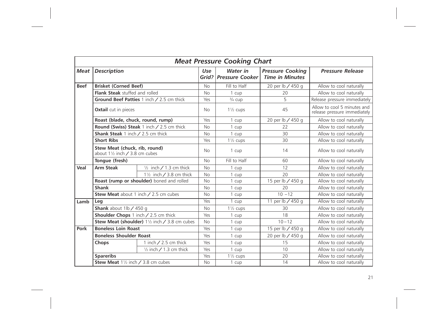|             | <b>Meat Pressure Cooking Chart</b>                                        |                                                  |           |                                     |                                                   |                                                             |  |
|-------------|---------------------------------------------------------------------------|--------------------------------------------------|-----------|-------------------------------------|---------------------------------------------------|-------------------------------------------------------------|--|
| <b>Meat</b> | <b>Description</b>                                                        |                                                  | Use       | Water in<br>Grid?   Pressure Cooker | <b>Pressure Cooking</b><br><b>Time in Minutes</b> | <b>Pressure Release</b>                                     |  |
| <b>Beef</b> | <b>Brisket (Corned Beef)</b>                                              |                                                  | <b>No</b> | Fill to Half                        | 20 per lb / 450 g                                 | Allow to cool naturally                                     |  |
|             | Flank Steak stuffed and rolled                                            |                                                  | <b>No</b> | 1 cup                               | 20                                                | Allow to cool naturally                                     |  |
|             |                                                                           | Ground Beef Patties 1 inch / 2.5 cm thick        | Yes       | $\frac{3}{4}$ cup                   | $\overline{5}$                                    | Release pressure immediately                                |  |
|             | Oxtail cut in pieces                                                      |                                                  | <b>No</b> | $1\frac{1}{2}$ cups                 | 45                                                | Allow to cool 5 minutes and<br>release pressure immediately |  |
|             | Roast (blade, chuck, round, rump)                                         |                                                  | Yes       | 1 cup                               | 20 per lb / 450 g                                 | Allow to cool naturally                                     |  |
|             |                                                                           | <b>Round (Swiss) Steak 1 inch / 2.5 cm thick</b> | <b>No</b> | 1 cup                               | 22                                                | Allow to cool naturally                                     |  |
|             | Shank Steak 1 inch / 2.5 cm thick                                         |                                                  | <b>No</b> | 1 cup                               | 30                                                | Allow to cool naturally                                     |  |
|             | <b>Short Ribs</b>                                                         |                                                  | Yes       | $1\frac{1}{2}$ cups                 | 30                                                | Allow to cool naturally                                     |  |
|             | Stew Meat (chuck, rib, round)<br>about $1\frac{1}{2}$ inch / 3.8 cm cubes |                                                  | <b>No</b> | 1 cup                               | 14                                                | Allow to cool naturally                                     |  |
|             | Tongue (fresh)                                                            |                                                  | <b>No</b> | Fill to Half                        | 60                                                | Allow to cool naturally                                     |  |
| Veal        | <b>Arm Steak</b>                                                          | $\frac{1}{2}$ inch / 1.3 cm thick                | <b>No</b> | 1 cup                               | 12                                                | Allow to cool naturally                                     |  |
|             |                                                                           | 1 $\frac{1}{2}$ inch / 3.8 cm thick              | <b>No</b> | 1 cup                               | 20                                                | Allow to cool naturally                                     |  |
|             |                                                                           | Roast (rump or shoulder) boned and rolled        | <b>No</b> | 1 cup                               | 15 per lb / 450 g                                 | Allow to cool naturally                                     |  |
|             | <b>Shank</b>                                                              |                                                  | <b>No</b> | 1 cup                               | 20                                                | Allow to cool naturally                                     |  |
|             | Stew Meat about 1 inch / 2.5 cm cubes                                     |                                                  | <b>No</b> | 1 cup                               | $10 - 12$                                         | Allow to cool naturally                                     |  |
| Lamb        | Leg                                                                       |                                                  | Yes       | 1 cup                               | 11 per lb / 450 g                                 | Allow to cool naturally                                     |  |
|             | Shank about $1/b / 450 g$                                                 |                                                  | <b>No</b> | $1\frac{1}{2}$ cups                 | 30                                                | Allow to cool naturally                                     |  |
|             | Shoulder Chops 1 inch / 2.5 cm thick                                      |                                                  | Yes       | 1 cup                               | 18                                                | Allow to cool naturally                                     |  |
|             |                                                                           | Stew Meat (shoulder) 11/2 inch / 3.8 cm cubes    | <b>No</b> | 1 cup                               | $10 - 12$                                         | Allow to cool naturally                                     |  |
| Pork        | <b>Boneless Loin Roast</b>                                                |                                                  | Yes       | 1 cup                               | 15 per lb / 450 g                                 | Allow to cool naturally                                     |  |
|             | <b>Boneless Shoulder Roast</b>                                            |                                                  | Yes       | 1 cup                               | 20 per lb / 450 g                                 | Allow to cool naturally                                     |  |
|             | Chops                                                                     | 1 inch $/$ 2.5 cm thick                          | Yes       | 1 cup                               | 15                                                | Allow to cool naturally                                     |  |
|             |                                                                           | $\frac{1}{2}$ inch / 1.3 cm thick                | Yes       | 1 cup                               | 10                                                | Allow to cool naturally                                     |  |
|             | <b>Spareribs</b>                                                          |                                                  | Yes       | $1\frac{1}{2}$ cups                 | 20                                                | Allow to cool naturally                                     |  |
|             | Stew Meat 11/2 inch / 3.8 cm cubes                                        |                                                  | <b>No</b> | 1 cup                               | 14                                                | Allow to cool naturally                                     |  |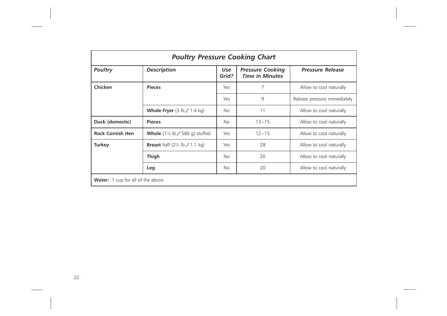| <b>Poultry Pressure Cooking Chart</b>     |                                                      |              |                                                   |                              |  |
|-------------------------------------------|------------------------------------------------------|--------------|---------------------------------------------------|------------------------------|--|
| <b>Poultry</b>                            | <b>Description</b>                                   | Use<br>Grid? | <b>Pressure Cooking</b><br><b>Time in Minutes</b> | <b>Pressure Release</b>      |  |
| Chicken                                   | <b>Pieces</b>                                        | Yes          | 7                                                 | Allow to cool naturally      |  |
|                                           |                                                      | Yes          | 9                                                 | Release pressure immediately |  |
|                                           | <b>Whole Fryer</b> $(3 \text{ lb} / 1.4 \text{ kg})$ | No.          | 11                                                | Allow to cool naturally      |  |
| Duck (domestic)                           | <b>Pieces</b>                                        | <b>No</b>    | $13 - 15$                                         | Allow to cool naturally      |  |
| <b>Rock Cornish Hen</b>                   | <b>Whole</b> $(1\frac{1}{4}$ lb / 560 g) stuffed     | Yes          | $12 - 15$                                         | Allow to cool naturally      |  |
| <b>Turkey</b>                             | <b>Breast</b> half $(2\frac{1}{2}$ lb / 1.1 kg)      | Yes          | 28                                                | Allow to cool naturally      |  |
|                                           | <b>Thigh</b>                                         | No           | 20                                                | Allow to cool naturally      |  |
|                                           | Leg                                                  | No           | 20                                                | Allow to cool naturally      |  |
| <b>Water:</b> 1 cup for all of the above. |                                                      |              |                                                   |                              |  |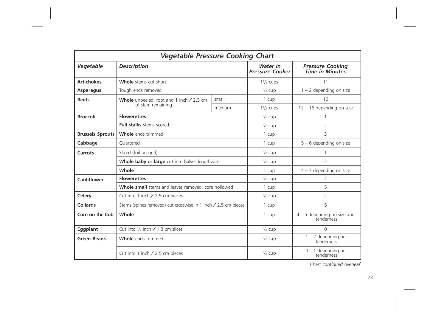| <b>Vegetable Pressure Cooking Chart</b> |                                                                |                                           |                                                   |                                    |  |
|-----------------------------------------|----------------------------------------------------------------|-------------------------------------------|---------------------------------------------------|------------------------------------|--|
| Vegetable                               | <b>Description</b>                                             | <b>Water</b> in<br><b>Pressure Cooker</b> | <b>Pressure Cooking</b><br><b>Time in Minutes</b> |                                    |  |
| <b>Artichokes</b>                       | Whole stems cut short                                          |                                           | $1\frac{1}{2}$ cups                               | 11                                 |  |
| <b>Asparagus</b>                        | Tough ends removed                                             |                                           | $\frac{1}{2}$ cup                                 | $1 - 2$ depending on size          |  |
| <b>Beets</b>                            | Whole unpeeled, root and 1 inch / 2.5 cm                       | small                                     | 1 cup                                             | 10                                 |  |
|                                         | of stem remaining                                              | medium                                    | $1\frac{1}{2}$ cups                               | $12 - 16$ depending on size        |  |
| <b>Broccoli</b>                         | <b>Flowerettes</b>                                             |                                           | $\frac{1}{2}$ cup                                 | 1                                  |  |
|                                         | <b>Full stalks</b> stems scored                                |                                           | $\frac{1}{2}$ cup                                 | 2                                  |  |
| <b>Brussels Sprouts</b>                 | <b>Whole</b> ends trimmed                                      | 1 cup                                     | 3                                                 |                                    |  |
| Cabbage                                 | Ouartered                                                      |                                           | 1 cup                                             | $5 - 6$ depending on size          |  |
| Carrots                                 | Sliced (foil on grid)                                          |                                           | $\frac{1}{2}$ cup                                 | 1                                  |  |
|                                         | Whole baby or large cut into halves lengthwise                 |                                           | $\frac{1}{2}$ cup                                 | 2                                  |  |
|                                         | Whole                                                          | 1 cup                                     | $4 - 7$ depending on size                         |                                    |  |
| <b>Cauliflower</b>                      | <b>Flowerettes</b>                                             | $\frac{1}{2}$ cup                         | 2                                                 |                                    |  |
|                                         | Whole small stems and leaves removed, core hollowed            |                                           | 1 cup                                             | 5                                  |  |
| Celery                                  | Cut into 1 inch $/$ 2.5 cm pieces                              |                                           | $\frac{1}{2}$ cup                                 | 2                                  |  |
| Collards                                | Stems (spines removed) cut crosswise in 1 inch / 2.5 cm pieces |                                           | 1 cup                                             | 5                                  |  |
| Corn on the Cob                         | Whole                                                          | 1 cup                                     | $4 - 5$ depending on size and<br>tenderness       |                                    |  |
| Eggplant                                | Cut into $1/2$ inch / 1.3 cm slices                            | $\frac{1}{2}$ cup                         | $\Omega$                                          |                                    |  |
| <b>Green Beans</b>                      | <b>Whole</b> ends trimmed                                      | $\frac{1}{2}$ cup                         | $1 - 2$ depending on<br>tenderness                |                                    |  |
|                                         | Cut into 1 inch $/$ 2.5 cm pieces                              |                                           | $\frac{1}{2}$ cup                                 | $0 - 1$ depending on<br>tenderness |  |

Chart continued overleaf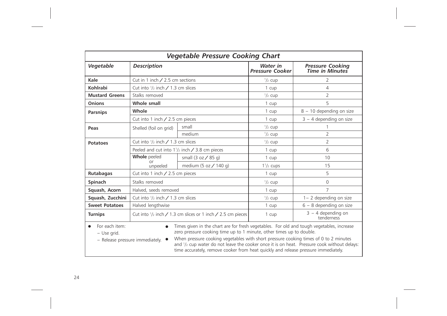| <b>Vegetable Pressure Cooking Chart</b>                                                                                                                                                                                                                                                                                                                                                                                                                                                                                           |                                                                                     |                                                         |                                           |                                                   |  |  |
|-----------------------------------------------------------------------------------------------------------------------------------------------------------------------------------------------------------------------------------------------------------------------------------------------------------------------------------------------------------------------------------------------------------------------------------------------------------------------------------------------------------------------------------|-------------------------------------------------------------------------------------|---------------------------------------------------------|-------------------------------------------|---------------------------------------------------|--|--|
| Vegetable                                                                                                                                                                                                                                                                                                                                                                                                                                                                                                                         | <b>Description</b>                                                                  |                                                         | <b>Water</b> in<br><b>Pressure Cooker</b> | <b>Pressure Cooking</b><br><b>Time in Minutes</b> |  |  |
| Kale                                                                                                                                                                                                                                                                                                                                                                                                                                                                                                                              | Cut in 1 inch $/$ 2.5 cm sections                                                   |                                                         | $\frac{1}{2}$ cup                         | $\overline{2}$                                    |  |  |
| Kohlrabi                                                                                                                                                                                                                                                                                                                                                                                                                                                                                                                          | Cut into $\frac{1}{2}$ inch / 1.3 cm slices                                         |                                                         | 1 cup                                     | 4                                                 |  |  |
| <b>Mustard Greens</b>                                                                                                                                                                                                                                                                                                                                                                                                                                                                                                             | Stalks removed                                                                      |                                                         | $\frac{1}{2}$ cup                         | $\overline{2}$                                    |  |  |
| Onions                                                                                                                                                                                                                                                                                                                                                                                                                                                                                                                            | Whole small                                                                         |                                                         | 1 cup                                     | 5                                                 |  |  |
| <b>Parsnips</b>                                                                                                                                                                                                                                                                                                                                                                                                                                                                                                                   | Whole                                                                               |                                                         | 1 cup                                     | 8 - 10 depending on size                          |  |  |
|                                                                                                                                                                                                                                                                                                                                                                                                                                                                                                                                   | Cut into 1 inch $/$ 2.5 cm pieces                                                   |                                                         | 1 cup                                     | $3 - 4$ depending on size                         |  |  |
| Peas                                                                                                                                                                                                                                                                                                                                                                                                                                                                                                                              | Shelled (foil on grid)                                                              | small                                                   | $\frac{1}{2}$ cup                         |                                                   |  |  |
|                                                                                                                                                                                                                                                                                                                                                                                                                                                                                                                                   |                                                                                     | medium                                                  | $\frac{1}{2}$ cup                         | $\overline{2}$                                    |  |  |
| <b>Potatoes</b>                                                                                                                                                                                                                                                                                                                                                                                                                                                                                                                   | Cut into $1/2$ inch / 1.3 cm slices                                                 |                                                         | $\frac{1}{2}$ cup                         | $\overline{2}$                                    |  |  |
|                                                                                                                                                                                                                                                                                                                                                                                                                                                                                                                                   |                                                                                     | Peeled and cut into $1\frac{1}{2}$ inch / 3.8 cm pieces | 1 cup                                     | 6                                                 |  |  |
|                                                                                                                                                                                                                                                                                                                                                                                                                                                                                                                                   | <b>Whole</b> peeled<br>small (3 oz / 85 g)                                          |                                                         | 1 cup                                     | 10                                                |  |  |
|                                                                                                                                                                                                                                                                                                                                                                                                                                                                                                                                   | Ωr<br>unpeeled                                                                      | medium (5 oz $/$ 140 g)                                 | $1\frac{1}{2}$ cups                       | 15                                                |  |  |
| <b>Rutabagas</b>                                                                                                                                                                                                                                                                                                                                                                                                                                                                                                                  | Cut into 1 inch $/$ 2.5 cm pieces                                                   |                                                         | 1 cup                                     | 5                                                 |  |  |
| Spinach                                                                                                                                                                                                                                                                                                                                                                                                                                                                                                                           | Stalks removed                                                                      |                                                         | $1/2$ cup                                 | 0                                                 |  |  |
| Squash, Acorn                                                                                                                                                                                                                                                                                                                                                                                                                                                                                                                     | Halved, seeds removed                                                               |                                                         | 1 cup                                     | $\overline{7}$                                    |  |  |
| Squash, Zucchini                                                                                                                                                                                                                                                                                                                                                                                                                                                                                                                  | Cut into $1/2$ inch / 1.3 cm slices                                                 |                                                         | $\frac{1}{2}$ cup                         | 1-2 depending on size                             |  |  |
| <b>Sweet Potatoes</b>                                                                                                                                                                                                                                                                                                                                                                                                                                                                                                             | Halved lengthwise                                                                   |                                                         | 1 cup                                     | $6 - 8$ depending on size                         |  |  |
| <b>Turnips</b>                                                                                                                                                                                                                                                                                                                                                                                                                                                                                                                    | Cut into $\frac{1}{2}$ inch $\angle$ 1.3 cm slices or 1 inch $\angle$ 2.5 cm pieces |                                                         | 1 cup                                     | $3 - 4$ depending on<br>tenderness                |  |  |
| For each item:<br>Times given in the chart are for fresh vegetables. For old and tough vegetables, increase<br>$\bullet$<br>zero pressure cooking time up to 1 minute, other times up to double.<br>- Use grid.<br>When pressure cooking vegetables with short pressure cooking times of 0 to 2 minutes<br>- Release pressure immediately.<br>and $1/2$ cup water do not leave the cooker once it is on heat. Pressure cook without delays:<br>time accurately, remove cooker from heat quickly and release pressure immediately. |                                                                                     |                                                         |                                           |                                                   |  |  |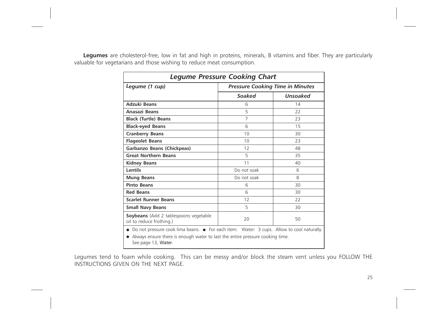Legumes are cholesterol-free, low in fat and high in proteins, minerals, B vitamins and fiber. They are particularly valuable for vegetarians and those wishing to reduce meat consumption.

| <b>Legume Pressure Cooking Chart</b>                                                                   |                                         |          |
|--------------------------------------------------------------------------------------------------------|-----------------------------------------|----------|
| Legume (1 cup)                                                                                         | <b>Pressure Cooking Time in Minutes</b> |          |
|                                                                                                        | Soaked                                  | Unsoaked |
| <b>Adzuki Beans</b>                                                                                    | 6                                       | 14       |
| Anasazi Beans                                                                                          | 5                                       | 22       |
| <b>Black (Turtle) Beans</b>                                                                            | 7                                       | 23       |
| <b>Black-eyed Beans</b>                                                                                | 6                                       | 15       |
| <b>Cranberry Beans</b>                                                                                 | 10                                      | 30       |
| <b>Flageolet Beans</b>                                                                                 | 10                                      | 23       |
| Garbanzo Beans (Chickpeas)                                                                             | 12                                      | 48       |
| <b>Great Northern Beans</b>                                                                            | 5                                       | 35       |
| <b>Kidney Beans</b>                                                                                    | 11                                      | 40       |
| <b>Lentils</b>                                                                                         | Do not soak                             | 6        |
| <b>Mung Beans</b>                                                                                      | Do not soak                             | 8        |
| <b>Pinto Beans</b>                                                                                     | 6                                       | 30       |
| <b>Red Beans</b>                                                                                       | 6                                       | 30       |
| <b>Scarlet Runner Beans</b>                                                                            | 12                                      | 22       |
| <b>Small Navy Beans</b>                                                                                | 5                                       | 30       |
| <b>Soybeans</b> (Add 2 tablespoons vegetable<br>oil to reduce frothing.)                               | 20                                      | 50       |
| • Do not pressure cook lima beans. • For each item: Water: 3 cups. Allow to cool naturally.            |                                         |          |
| • Always ensure there is enough water to last the entire pressure cooking time.<br>See page 13, Water. |                                         |          |

Legumes tend to foam while cooking. This can be messy and/or block the steam vent unless you FOLLOW THE INSTRUCTIONS GIVEN ON THE NEXT PAGE.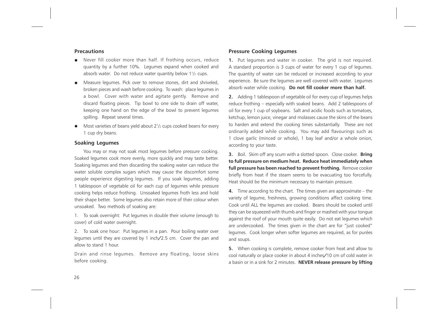### **Precautions**

- Never fill cooker more than half. If frothing occurs, reduce quantity by a further 10%. Legumes expand when cooked and absorb water. Do not reduce water quantity below  $1\frac{1}{2}$  cups.
- Measure legumes. Pick over to remove stones, dirt and shriveled, broken pieces and wash before cooking. To wash: place legumes in a bowl. Cover with water and agitate gently. Remove and discard floating pieces. Tip bowl to one side to drain off water, keeping one hand on the edge of the bowl to prevent legumes spilling. Repeat several times.
- Most varieties of beans yield about  $2^{1/2}$  cups cooked beans for every 1 cup dry beans.

### Soaking Legumes

You may or may not soak most legumes before pressure cooking. Soaked legumes cook more evenly, more quickly and may taste better. Soaking legumes and then discarding the soaking water can reduce the water soluble complex sugars which may cause the discomfort some people experience digesting legumes. If you soak legumes, adding 1 tablespoon of vegetable oil for each cup of legumes while pressure cooking helps reduce frothing. Unsoaked legumes froth less and hold their shape better. Some legumes also retain more of their colour when unsoaked. Two methods of soaking are:

1. To soak overnight: Put legumes in double their volume (enough to cover) of cold water overnight.

2. To soak one hour: Put legumes in a pan. Pour boiling water over legumes until they are covered by 1 inch/2.5 cm. Cover the pan and allow to stand 1 hour.

Drain and rinse legumes. Remove any floating, loose skins before cooking.

### Pressure Cooking Legumes

1. Put legumes and water in cooker. The grid is not required. A standard proportion is 3 cups of water for every 1 cup of legumes. The quantity of water can be reduced or increased according to your experience. Be sure the legumes are well covered with water. Legumes absorb water while cooking. Do not fill cooker more than half.

2. Adding 1 tablespoon of vegetable oil for every cup of legumes helps reduce frothing – especially with soaked beans. Add 2 tablespoons of oil for every 1 cup of soybeans. Salt and acidic foods such as tomatoes, ketchup, lemon juice, vinegar and molasses cause the skins of the beans to harden and extend the cooking times substantially. These are not ordinarily added while cooking. You may add flavourings such as 1 clove garlic (minced or whole), 1 bay leaf and/or a whole onion, according to your taste.

3. Boil. Skim off any scum with a slotted spoon. Close cooker. Bring to full pressure on medium heat. Reduce heat immediately when full pressure has been reached to prevent frothing. Remove cooker briefly from heat if the steam seems to be evacuating too forcefully. Heat should be the minimum necessary to maintain pressure.

4. Time according to the chart. The times given are approximate – the variety of legume, freshness, growing conditions affect cooking time. Cook until ALL the legumes are cooked. Beans should be cooked until they can be squeezed with thumb and finger or mashed with your tongue against the roof of your mouth quite easily. Do not eat legumes which are undercooked. The times given in the chart are for "just cooked" legumes. Cook longer when softer legumes are required, as for purées and soups.

5. When cooking is complete, remove cooker from heat and allow to cool naturally or place cooker in about 4 inches/10 cm of cold water in a basin or in a sink for 2 minutes. NEVER release pressure by lifting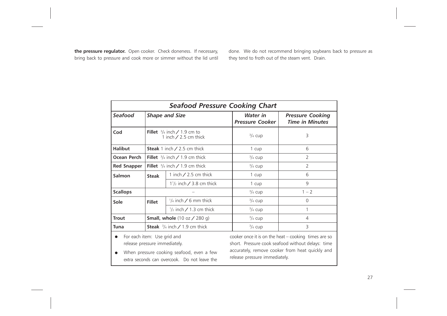the pressure regulator. Open cooker. Check doneness. If necessary, bring back to pressure and cook more or simmer without the lid until done. We do not recommend bringing soybeans back to pressure as they tend to froth out of the steam vent. Drain.

| <b>Seafood Pressure Cooking Chart</b>                        |                                                                  |                                                                                           |                                           |                                                                                                                                                                |
|--------------------------------------------------------------|------------------------------------------------------------------|-------------------------------------------------------------------------------------------|-------------------------------------------|----------------------------------------------------------------------------------------------------------------------------------------------------------------|
| <b>Seafood</b>                                               | <b>Shape and Size</b>                                            |                                                                                           | <b>Water</b> in<br><b>Pressure Cooker</b> | <b>Pressure Cooking</b><br><b>Time in Minutes</b>                                                                                                              |
| Cod                                                          | Fillet $\frac{3}{4}$ inch / 1.9 cm to<br>1 inch $/$ 2.5 cm thick |                                                                                           | $\frac{3}{4}$ cup                         | 3                                                                                                                                                              |
| <b>Halibut</b>                                               |                                                                  | <b>Steak</b> 1 inch $\angle$ 2.5 cm thick                                                 | 1 cup                                     | 6                                                                                                                                                              |
| Ocean Perch                                                  | Fillet $\frac{3}{4}$ inch / 1.9 cm thick                         |                                                                                           | $\frac{3}{4}$ cup                         | $\overline{2}$                                                                                                                                                 |
| <b>Red Snapper</b>                                           |                                                                  | <b>Fillet</b> $\frac{3}{4}$ inch / 1.9 cm thick                                           | $\frac{3}{4}$ cup                         | $\overline{2}$                                                                                                                                                 |
| Salmon                                                       | <b>Steak</b>                                                     | 1 inch $/$ 2.5 cm thick                                                                   | 1 cup                                     | 6                                                                                                                                                              |
|                                                              |                                                                  | $1\frac{1}{2}$ inch / 3.8 cm thick                                                        | 1 cup                                     | 9                                                                                                                                                              |
| <b>Scallops</b>                                              |                                                                  |                                                                                           | $\frac{3}{4}$ cup                         | $1 - 2$                                                                                                                                                        |
| Sole                                                         | <b>Fillet</b>                                                    | $\frac{1}{4}$ inch / 6 mm thick                                                           | $\frac{3}{4}$ cup                         | $\Omega$                                                                                                                                                       |
|                                                              |                                                                  | $\frac{1}{2}$ inch / 1.3 cm thick                                                         | $\frac{3}{4}$ cup                         | 1                                                                                                                                                              |
| <b>Trout</b>                                                 |                                                                  | <b>Small, whole</b> $(10 oz / 280 g)$                                                     | $\frac{3}{4}$ cup                         | $\overline{4}$                                                                                                                                                 |
| Tuna                                                         |                                                                  | <b>Steak</b> $\frac{3}{4}$ inch / 1.9 cm thick                                            | $\frac{3}{4}$ cup                         | $\overline{3}$                                                                                                                                                 |
| For each item: Use grid and<br>release pressure immediately. |                                                                  | When pressure cooking seafood, even a few<br>extra seconds can overcook. Do not leave the | release pressure immediately.             | cooker once it is on the heat $-$ cooking times are so<br>short. Pressure cook seafood without delays: time<br>accurately, remove cooker from heat quickly and |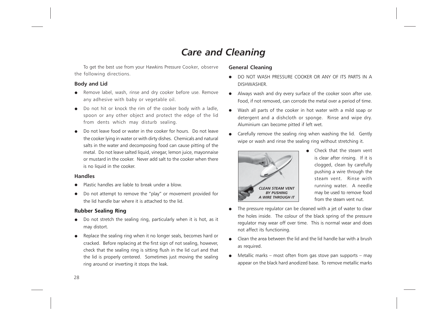# Care and Cleaning

To get the best use from your Hawkins Pressure Cooker, observe the following directions.

### Body and Lid

- Remove label, wash, rinse and dry cooker before use. Remove any adhesive with baby or vegetable oil.
- Do not hit or knock the rim of the cooker body with a ladle, spoon or any other object and protect the edge of the lid from dents which may disturb sealing.
- Do not leave food or water in the cooker for hours. Do not leave the cooker lying in water or with dirty dishes. Chemicals and natural salts in the water and decomposing food can cause pitting of the metal. Do not leave salted liquid, vinegar, lemon juice, mayonnaise or mustard in the cooker. Never add salt to the cooker when there is no liquid in the cooker.

### Handles

- Plastic handles are liable to break under a blow.
- Do not attempt to remove the "play" or movement provided for the lid handle bar where it is attached to the lid.

### Rubber Sealing Ring

- Do not stretch the sealing ring, particularly when it is hot, as it may distort.
- Replace the sealing ring when it no longer seals, becomes hard or cracked. Before replacing at the first sign of not sealing, however, check that the sealing ring is sitting flush in the lid curl and that the lid is properly centered. Sometimes just moving the sealing ring around or inverting it stops the leak.

### General Cleaning

- DO NOT WASH PRESSURE COOKER OR ANY OF ITS PARTS IN A DISHWASHER.
- Always wash and dry every surface of the cooker soon after use. Food, if not removed, can corrode the metal over a period of time.
- Wash all parts of the cooker in hot water with a mild soap or detergent and a dishcloth or sponge. Rinse and wipe dry. Aluminium can become pitted if left wet.
- Carefully remove the sealing ring when washing the lid. Gently wipe or wash and rinse the sealing ring without stretching it.



- Check that the steam vent is clear after rinsing. If it is clogged, clean by carefully pushing a wire through the steam vent. Rinse with running water. A needle may be used to remove food from the steam vent nut.
- The pressure regulator can be cleaned with a jet of water to clear the holes inside. The colour of the black spring of the pressure regulator may wear off over time. This is normal wear and does not affect its functioning.
- Clean the area between the lid and the lid handle bar with a brush as required.
- Metallic marks most often from gas stove pan supports may appear on the black hard anodized base. To remove metallic marks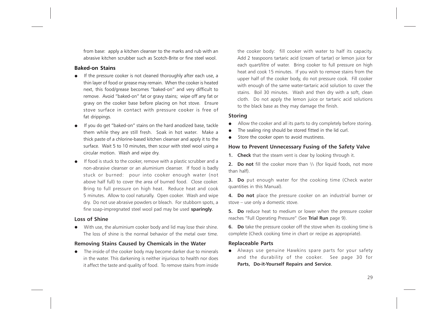from base: apply a kitchen cleanser to the marks and rub with an abrasive kitchen scrubber such as Scotch-Brite or fine steel wool.

### Baked-on Stains

- If the pressure cooker is not cleaned thoroughly after each use, a thin layer of food or grease may remain. When the cooker is heated next, this food/grease becomes "baked-on" and very difficult to remove. Avoid "baked-on" fat or gravy stains; wipe off any fat or gravy on the cooker base before placing on hot stove. Ensure stove surface in contact with pressure cooker is free of fat drippings.
- If you do get "baked-on" stains on the hard anodized base, tackle them while they are still fresh. Soak in hot water. Make a thick paste of a chlorine-based kitchen cleanser and apply it to the surface. Wait 5 to 10 minutes, then scour with steel wool using a circular motion. Wash and wipe dry.
- If food is stuck to the cooker, remove with a plastic scrubber and a non-abrasive cleanser or an aluminium cleanser. If food is badly stuck or burned: pour into cooker enough water (not above half full) to cover the area of burned food. Close cooker. Bring to full pressure on high heat. Reduce heat and cook 5 minutes. Allow to cool naturally. Open cooker. Wash and wipe dry. Do not use abrasive powders or bleach. For stubborn spots, a fine soap-impregnated steel wool pad may be used sparingly.

### Loss of Shine

With use, the aluminium cooker body and lid may lose their shine. The loss of shine is the normal behavior of the metal over time.

### Removing Stains Caused by Chemicals in the Water

The inside of the cooker body may become darker due to minerals in the water. This darkening is neither injurious to health nor does it affect the taste and quality of food. To remove stains from inside the cooker body: fill cooker with water to half its capacity. Add 2 teaspoons tartaric acid (cream of tartar) or lemon juice for each quart/litre of water. Bring cooker to full pressure on high heat and cook 15 minutes. If you wish to remove stains from the upper half of the cooker body, do not pressure cook. Fill cooker with enough of the same water-tartaric acid solution to cover the stains. Boil 30 minutes. Wash and then dry with a soft, clean cloth. Do not apply the lemon juice or tartaric acid solutions to the black base as they may damage the finish.

### Storing

- Allow the cooker and all its parts to dry completely before storing.
- The sealing ring should be stored fitted in the lid curl.
- Store the cooker open to avoid mustiness.

### How to Prevent Unnecessary Fusing of the Safety Valve

**1.** Check that the steam vent is clear by looking through it.

**2.** Do not fill the cooker more than  $\frac{2}{3}$  (for liquid foods, not more than half).

**3. Do** put enough water for the cooking time (Check water quantities in this Manual).

4. Do not place the pressure cooker on an industrial burner or stove – use only a domestic stove.

5. Do reduce heat to medium or lower when the pressure cooker reaches "Full Operating Pressure" (See Trial Run page 9).

**6.** Do take the pressure cooker off the stove when its cooking time is complete (Check cooking time in chart or recipe as appropriate).

### Replaceable Parts

• Always use genuine Hawkins spare parts for your safety and the durability of the cooker. See page 30 for Parts, Do-it-Yourself Repairs and Service.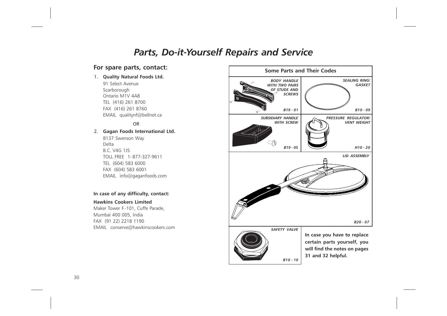### Parts, Do-it-Yourself Repairs and Service

### For spare parts, contact:

### 1. Quality Natural Foods Ltd.

91 Select Avenue Scarborough Ontario M1V 4A8 TEL (416) 261 8700 FAX (416) 261 8760 EMAIL qualitynf@bellnet.ca

#### **OR** STREET STREET AND THE STREET STREET STREET AND THE STREET STREET AND THE STREET STREET AND THE STREET AND T

#### 2. Gagan Foods International Ltd.

8137 Swenson Way Delta B.C. V4G 1J5 TOLL FREE 1- 877-327-9611 TEL (604) 583 6000 FAX (604) 583 6001 EMAIL info@gaganfoods.com

### In case of any difficulty, contact:

#### Hawkins Cookers Limited

Maker Tower F -101, Cuffe Parade, Mumbai 400 005, India FAX (91 22) 2218 1190 EMAIL conserve@hawkinscookers.com

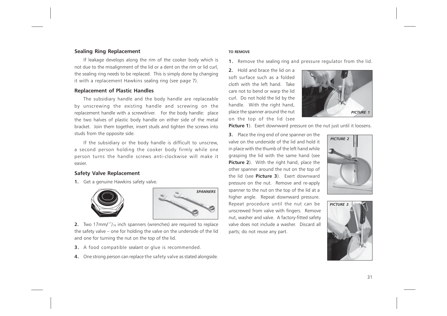### Sealing Ring Replacement

If leakage develops along the rim of the cooker body which is not due to the misalignment of the lid or a dent on the rim or lid curl, the sealing ring needs to be replaced. This is simply done by changing it with a replacement Hawkins sealing ring (see page 7).

### Replacement of Plastic Handles

The subsidiary handle and the body handle are replaceable by unscrewing the existing handle and screwing on the replacement handle with a screwdriver. For the body handle: place the two halves of plastic body handle on either side of the metal bracket. Join them together, insert studs and tighten the screws into studs from the opposite side.

If the subsidiary or the body handle is difficult to unscrew, a second person holding the cooker body firmly while one person turns the handle screws anti-clockwise will make it easier.

### Safety Valve Replacement

1. Get a genuine Hawkins safety valve.





**2.** Two 17mm/ $<sup>11</sup>/16$  inch spanners (wrenches) are required to replace</sup> the safety valve – one for holding the valve on the underside of the lid and one for turning the nut on the top of the lid.

- 3. A food compatible sealant or glue is recommended.
- 4. One strong person can replace the safety valve as stated alongside.

#### TO REMOVE

1. Remove the sealing ring and pressure regulator from the lid.

2. Hold and brace the lid on a soft surface such as a folded cloth with the left hand. Take care not to bend or warp the lid curl. Do not hold the lid by the handle. With the right hand, place the spanner around the nut on the top of the lid (see



Picture 1). Exert downward pressure on the nut just until it loosens.

3. Place the ring end of one spanner on the valve on the underside of the lid and hold it in place with the thumb of the left hand while grasping the lid with the same hand (see Picture 2). With the right hand, place the other spanner around the nut on the top of the lid (see **Picture 3**). Exert downward pressure on the nut. Remove and re-apply spanner to the nut on the top of the lid at a higher angle. Repeat downward pressure. Repeat procedure until the nut can be unscrewed from valve with fingers. Remove nut, washer and valve. A factory-fitted safety valve does not include a washer. Discard all parts; do not reuse any part.



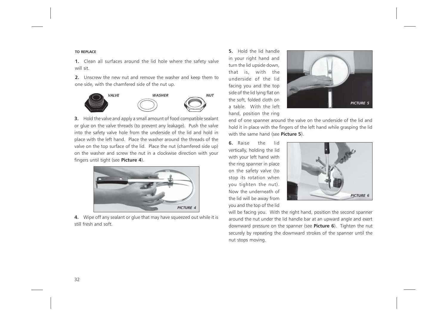#### TO REPLACE

1. Clean all surfaces around the lid hole where the safety valve will sit.

2. Unscrew the new nut and remove the washer and keep them to one side, with the chamfered side of the nut up.



**3.** Hold the valve and apply a small amount of food compatible sealant or glue on the valve threads (to prevent any leakage). Push the valve into the safety valve hole from the underside of the lid and hold in place with the left hand. Place the washer around the threads of the valve on the top surface of the lid. Place the nut (chamfered side up) on the washer and screw the nut in a clockwise direction with your fingers until tight (see Picture 4).



4. Wipe off any sealant or glue that may have squeezed out while it is still fresh and soft.

5. Hold the lid handle in your right hand and turn the lid upside down, that is, with the underside of the lid facing you and the top side of the lid lying flat on the soft, folded cloth on a table. With the left hand, position the ring



end of one spanner around the valve on the underside of the lid and hold it in place with the fingers of the left hand while grasping the lid with the same hand (see **Picture 5**).

6. Raise the lid vertically, holding the lid with your left hand with the ring spanner in place on the safety valve (to stop its rotation when you tighten the nut). Now the underneath of the lid will be away from you and the top of the lid



will be facing you. With the right hand, position the second spanner around the nut under the lid handle bar at an upward angle and exert downward pressure on the spanner (see Picture 6). Tighten the nut securely by repeating the downward strokes of the spanner until the nut stops moving.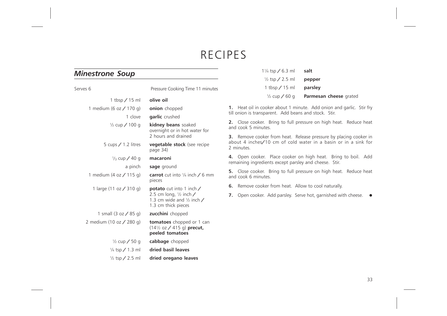# RECIPES

### Minestrone Soup

| Serves 6                   | Pressure Cooking Time 11 minutes                                                                                                                  |
|----------------------------|---------------------------------------------------------------------------------------------------------------------------------------------------|
| 1 tbsp $/$ 15 ml           | olive oil                                                                                                                                         |
| 1 medium (6 oz / 170 g)    | onion chopped                                                                                                                                     |
| 1 clove                    | garlic crushed                                                                                                                                    |
| $\frac{1}{2}$ cup / 100 g  | kidney beans soaked<br>overnight or in hot water for<br>2 hours and drained                                                                       |
| 5 cups $/$ 1.2 litres      | <b>vegetable stock</b> (see recipe<br>page 34)                                                                                                    |
| $\frac{1}{3}$ cup / 40 g   | macaroni                                                                                                                                          |
| a pinch                    | sage ground                                                                                                                                       |
| 1 medium $(4 oz / 115 g)$  | <b>carrot</b> cut into $\frac{1}{4}$ inch $\angle$ 6 mm<br>pieces                                                                                 |
| 1 large (11 oz / 310 g)    | <b>potato</b> cut into 1 inch $\angle$<br>2.5 cm long, $\frac{1}{2}$ inch $\angle$<br>1.3 cm wide and $\frac{1}{2}$ inch /<br>1.3 cm thick pieces |
| 1 small $(3 oz / 85 g)$    | <b>zucchini</b> chopped                                                                                                                           |
| 2 medium (10 oz / 280 g)   | <b>tomatoes</b> chopped or 1 can<br>$(14\frac{1}{2}$ oz / 415 g) precut,<br>peeled tomatoes                                                       |
| $\frac{1}{2}$ cup / 50 g   | cabbage chopped                                                                                                                                   |
| $\frac{1}{4}$ tsp / 1.3 ml | dried basil leaves                                                                                                                                |
| $\frac{1}{2}$ tsp / 2.5 ml | dried oregano leaves                                                                                                                              |

| $1\frac{1}{4}$ tsp / 6.3 ml | salt                   |
|-----------------------------|------------------------|
| $\frac{1}{2}$ tsp / 2.5 ml  | pepper                 |
| 1 tbsp $/$ 15 ml            | parsley                |
| $\frac{1}{2}$ cup / 60 g    | Parmesan cheese grated |

1. Heat oil in cooker about 1 minute. Add onion and garlic. Stir fry till onion is transparent. Add beans and stock. Stir.

2. Close cooker. Bring to full pressure on high heat. Reduce heat and cook 5 minutes.

3. Remove cooker from heat. Release pressure by placing cooker in about 4 inches/10 cm of cold water in a basin or in a sink for 2 minutes.

4. Open cooker. Place cooker on high heat. Bring to boil. Add remaining ingredients except parsley and cheese. Stir.

5. Close cooker. Bring to full pressure on high heat. Reduce heat and cook 6 minutes.

6. Remove cooker from heat. Allow to cool naturally.

7. Open cooker. Add parsley. Serve hot, garnished with cheese.  $\bullet$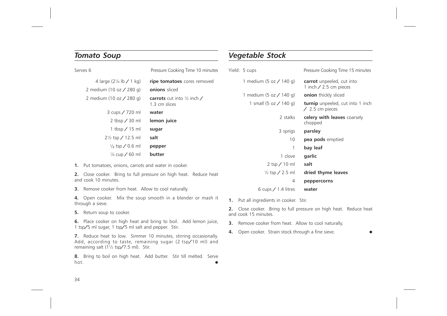### Tomato Soup

| Serves 6                           | Pressure Cooking Time 10 minutes                              | Yie |
|------------------------------------|---------------------------------------------------------------|-----|
| 4 large $(2\frac{1}{4}$ lb / 1 kg) | ripe tomatoes cores removed                                   |     |
| 2 medium (10 oz $\angle$ 280 g)    | onions sliced                                                 |     |
| 2 medium (10 oz $\angle$ 280 g)    | <b>carrots</b> cut into $\frac{1}{2}$ inch /<br>1.3 cm slices |     |
| 3 cups / 720 ml                    | water                                                         |     |
| 2 tbsp $/$ 30 ml                   | lemon juice                                                   |     |
| 1 tbsp $/$ 15 ml                   | sugar                                                         |     |
| $2\frac{1}{2}$ tsp / 12.5 ml       | salt                                                          |     |
| $\frac{1}{8}$ tsp / 0.6 ml         | pepper                                                        |     |
| $\frac{1}{4}$ cup / 60 ml          | butter                                                        |     |
|                                    |                                                               |     |

1. Put tomatoes, onions, carrots and water in cooker.

2. Close cooker. Bring to full pressure on high heat. Reduce heat and cook 10 minutes.

3. Remove cooker from heat. Allow to cool naturally.

4. Open cooker. Mix the soup smooth in a blender or mash it through a sieve.

5. Return soup to cooker.

6. Place cooker on high heat and bring to boil. Add lemon juice, 1 tsp/5 ml sugar, 1 tsp/5 ml salt and pepper. Stir.

7. Reduce heat to low. Simmer 10 minutes, stirring occasionally. Add, according to taste, remaining sugar (2 tsp/10 ml) and remaining salt (1½ tsp/7.5 ml). Stir.

8. Bring to boil on high heat. Add butter. Stir till melted. Serve  $h$ ot.

### Vegetable Stock

| Yield: 5 cups              | Pressure Cooking Time 15 minutes                                  |
|----------------------------|-------------------------------------------------------------------|
| 1 medium (5 oz / 140 g)    | <b>carrot</b> unpeeled, cut into<br>1 inch $/$ 2.5 cm pieces      |
| 1 medium (5 oz / 140 g)    | onion thickly sliced                                              |
| 1 small (5 oz $/$ 140 g)   | <b>turnip</b> unpeeled, cut into 1 inch<br>$\angle$ 2.5 cm pieces |
| 2 stalks                   | celery with leaves coarsely<br>chopped                            |
| 3 sprigs                   | parsley                                                           |
| 10                         | <b>pea pods</b> emptied                                           |
| 1                          | bay leaf                                                          |
| 1 clove                    | garlic                                                            |
| $2$ tsp $/ 10$ ml          | salt                                                              |
| $\frac{1}{2}$ tsp / 2.5 ml | dried thyme leaves                                                |
| 4                          | peppercorns                                                       |
| 6 cups $/$ 1.4 litres      | water                                                             |

1. Put all ingredients in cooker. Stir.

2. Close cooker. Bring to full pressure on high heat. Reduce heat and cook 15 minutes.

- **3.** Remove cooker from heat. Allow to cool naturally.
- 4. Open cooker. Strain stock through a fine sieve.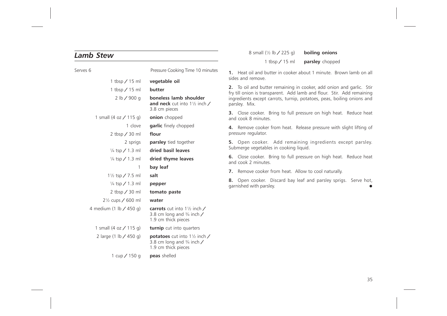### Lamb Stew

Serves 6 **Pressure Cooking Time 10 minutes** 1 tbsp / 15 ml vegetable oil 1 tbsp  $/$  15 ml butter 2 lb / 900 g boneless lamb shoulder and neck cut into 1½ inch / 3.8 cm pieces 1 small  $(4 \text{ oz} / 115 \text{ g})$  onion chopped 1 clove **garlic** finely chopped  $2$  tbsp  $\angle$  30 ml flour 2 sprigs **parsley** tied together  $\frac{1}{4}$  tsp / 1.3 ml dried basil leaves  $\frac{1}{4}$  tsp / 1.3 ml dried thyme leaves 1 bay leaf  $1\frac{1}{2}$  tsp / 7.5 ml salt  $\frac{1}{4}$  tsp / 1.3 ml pepper 2 tbsp / 30 ml tomato paste  $2\frac{1}{2}$  cups / 600 ml water 4 medium (1 lb  $/$  450 g) carrots cut into 1 $\frac{1}{2}$  inch  $/$ 3.8 cm long and  $\frac{3}{4}$  inch / 1.9 cm thick pieces 1 small (4 oz  $/$  115 g) turnip cut into quarters 2 large (1 lb  $/$  450 g) potatoes cut into 1 $\frac{1}{2}$  inch  $/$ 3.8 cm long and  $\frac{3}{4}$  inch / 1.9 cm thick pieces 1 cup  $/$  150 g peas shelled

8 small  $(\frac{1}{2} \text{ lb} / 225 \text{ q})$  boiling onions

1 tbsp / 15 ml parsley chopped

1. Heat oil and butter in cooker about 1 minute. Brown lamb on all sides and remove.

2. To oil and butter remaining in cooker, add onion and garlic. Stir fry till onion is transparent. Add lamb and flour. Stir. Add remaining ingredients except carrots, turnip, potatoes, peas, boiling onions and parsley. Mix.

**3.** Close cooker. Bring to full pressure on high heat. Reduce heat and cook 8 minutes.

4. Remove cooker from heat. Release pressure with slight lifting of pressure regulator.

5. Open cooker. Add remaining ingredients except parsley. Submerge vegetables in cooking liquid.

6. Close cooker. Bring to full pressure on high heat. Reduce heat and cook 2 minutes.

7. Remove cooker from heat. Allow to cool naturally.

8. Open cooker. Discard bay leaf and parsley sprigs. Serve hot, garnished with parsley. •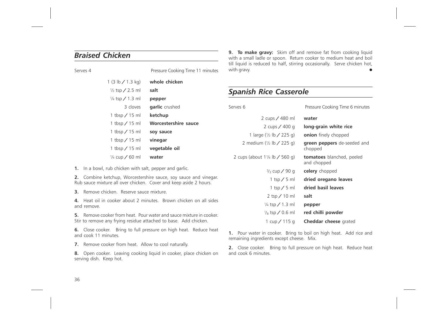### Braised Chicken

| Serves 4 |                            | Pressure Cooking Time 11 minutes |
|----------|----------------------------|----------------------------------|
|          | 1 (3 lb $\angle$ 1.3 kg)   | whole chicken                    |
|          | $\frac{1}{2}$ tsp / 2.5 ml | salt                             |
|          | $\frac{1}{4}$ tsp / 1.3 ml | pepper                           |
|          | 3 cloves                   | garlic crushed                   |
|          | 1 tbsp $/$ 15 ml           | ketchup                          |
|          | 1 tbsp $/$ 15 ml           | Worcestershire sauce             |
|          | 1 tbsp $/$ 15 ml           | soy sauce                        |
|          | 1 tbsp $/$ 15 ml           | vinegar                          |
|          | 1 tbsp / 15 ml             | vegetable oil                    |
|          | $\frac{1}{4}$ cup / 60 ml  | water                            |

1. In a bowl, rub chicken with salt, pepper and garlic.

2. Combine ketchup, Worcestershire sauce, soy sauce and vinegar. Rub sauce mixture all over chicken. Cover and keep aside 2 hours.

3. Remove chicken. Reserve sauce mixture.

4. Heat oil in cooker about 2 minutes. Brown chicken on all sides and remove.

5. Remove cooker from heat. Pour water and sauce mixture in cooker. Stir to remove any frying residue attached to base. Add chicken.

6. Close cooker. Bring to full pressure on high heat. Reduce heat and cook 11 minutes.

7. Remove cooker from heat. Allow to cool naturally.

8. Open cooker. Leaving cooking liquid in cooker, place chicken on serving dish. Keep hot.

**9. To make gravy:** Skim off and remove fat from cooking liquid with a small ladle or spoon. Return cooker to medium heat and boil till liquid is reduced to half, stirring occasionally. Serve chicken hot, with gravy.

### Spanish Rice Casserole

Serves 6 **Pressure Cooking Time 6 minutes** 

| water                                           | 2 cups / 480 ml                                     |
|-------------------------------------------------|-----------------------------------------------------|
| long-grain white rice                           | 2 cups $/$ 400 g                                    |
| <b>onion</b> finely chopped                     | 1 large $(\frac{1}{2} \text{ lb} / 225 \text{ q})$  |
| <b>green peppers</b> de-seeded and<br>chopped   | 2 medium $(\frac{1}{2} \text{ lb} / 225 \text{ q})$ |
| <b>tomatoes</b> blanched, peeled<br>and chopped | 2 cups (about $1\frac{1}{4}$ lb / 560 g)            |
| celery chopped                                  | $\frac{2}{3}$ cup / 90 g                            |
| dried oregano leaves                            | 1 tsp $/$ 5 ml                                      |
| dried basil leaves                              | 1 tsp $/$ 5 ml                                      |
| salt                                            | $2$ tsp $/ 10$ ml                                   |
| pepper                                          | $\frac{1}{4}$ tsp / 1.3 ml                          |
| red chilli powder                               | $\frac{1}{8}$ tsp / 0.6 ml                          |
| <b>Cheddar cheese</b> grated                    | 1 cup / 115 g                                       |

1. Pour water in cooker. Bring to boil on high heat. Add rice and remaining ingredients except cheese. Mix.

2. Close cooker. Bring to full pressure on high heat. Reduce heat and cook 6 minutes.